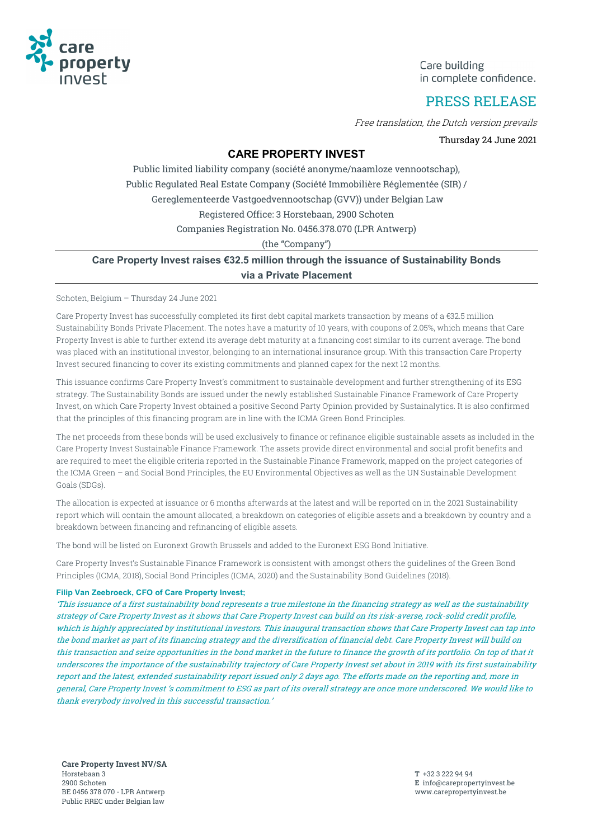

Care building in complete confidence.

# PRESS RELEASE

Free translation, the Dutch version prevails

Thursday 24 June 2021

### **CARE PROPERTY INVEST**

Public limited liability company (société anonyme/naamloze vennootschap), Public Regulated Real Estate Company (Société Immobilière Réglementée (SIR) / Gereglementeerde Vastgoedvennootschap (GVV)) under Belgian Law Registered Office: 3 Horstebaan, 2900 Schoten Companies Registration No. 0456.378.070 (LPR Antwerp)

(the "Company")

### **Care Property Invest raises €32.5 million through the issuance of Sustainability Bonds via a Private Placement**

Schoten, Belgium – Thursday 24 June 2021

Care Property Invest has successfully completed its first debt capital markets transaction by means of a €32.5 million Sustainability Bonds Private Placement. The notes have a maturity of 10 years, with coupons of 2.05%, which means that Care Property Invest is able to further extend its average debt maturity at a financing cost similar to its current average. The bond was placed with an institutional investor, belonging to an international insurance group. With this transaction Care Property Invest secured financing to cover its existing commitments and planned capex for the next 12 months.

This issuance confirms Care Property Invest's commitment to sustainable development and further strengthening of its ESG strategy. The Sustainability Bonds are issued under the newly established Sustainable Finance Framework of Care Property Invest, on which Care Property Invest obtained a positive Second Party Opinion provided by Sustainalytics. It is also confirmed that the principles of this financing program are in line with the ICMA Green Bond Principles.

The net proceeds from these bonds will be used exclusively to finance or refinance eligible sustainable assets as included in the Care Property Invest Sustainable Finance Framework. The assets provide direct environmental and social profit benefits and are required to meet the eligible criteria reported in the Sustainable Finance Framework, mapped on the project categories of the ICMA Green – and Social Bond Principles, the EU Environmental Objectives as well as the UN Sustainable Development Goals (SDGs).

The allocation is expected at issuance or 6 months afterwards at the latest and will be reported on in the 2021 Sustainability report which will contain the amount allocated, a breakdown on categories of eligible assets and a breakdown by country and a breakdown between financing and refinancing of eligible assets.

The bond will be listed on Euronext Growth Brussels and added to the Euronext ESG Bond Initiative.

Care Property Invest's Sustainable Finance Framework is consistent with amongst others the guidelines of the Green Bond Principles (ICMA, 2018), Social Bond Principles (ICMA, 2020) and the Sustainability Bond Guidelines (2018).

### **Filip Van Zeebroeck, CFO of Care Property Invest;**

'This issuance of a first sustainability bond represents a true milestone in the financing strategy as well as the sustainability strategy of Care Property Invest as it shows that Care Property Invest can build on its risk-averse, rock-solid credit profile, which is highly appreciated by institutional investors. This inaugural transaction shows that Care Property Invest can tap into the bond market as part of its financing strategy and the diversification of financial debt. Care Property Invest will build on this transaction and seize opportunities in the bond market in the future to finance the growth of its portfolio. On top of that it underscores the importance of the sustainability trajectory of Care Property Invest set about in 2019 with its first sustainability report and the latest, extended sustainability report issued only 2 days ago. The efforts made on the reporting and, more in general, Care Property Invest 's commitment to ESG as part of its overall strategy are once more underscored. We would like to thank everybody involved in this successful transaction.'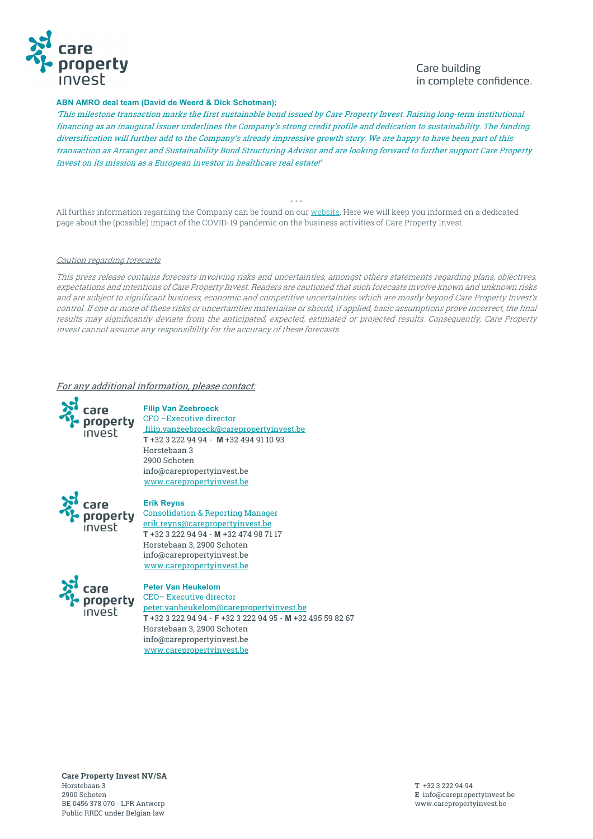

## Care building in complete confidence.

#### **ABN AMRO deal team (David de Weerd & Dick Schotman);**

'This milestone transaction marks the first sustainable bond issued by Care Property Invest. Raising long-term institutional financing as an inaugural issuer underlines the Company's strong credit profile and dedication to sustainability. The funding diversification will further add to the Company's already impressive growth story. We are happy to have been part of this transaction as Arranger and Sustainability Bond Structuring Advisor and are looking forward to further support Care Property Invest on its mission as a European investor in healthcare real estate!'

• • • All further information regarding the Company can be found on our website. Here we will keep you informed on a dedicated page about the (possible) impact of the COVID-19 pandemic on the business activities of Care Property Invest.

#### Caution regarding forecasts

This press release contains forecasts involving risks and uncertainties, amongst others statements regarding plans, objectives, expectations and intentions of Care Property Invest. Readers are cautioned that such forecasts involve known and unknown risks and are subject to significant business, economic and competitive uncertainties which are mostly beyond Care Property Invest's control. If one or more of these risks or uncertainties materialise or should, if applied, basic assumptions prove incorrect, the final results may significantly deviate from the anticipated, expected, estimated or projected results. Consequently, Care Property Invest cannot assume any responsibility for the accuracy of these forecasts.

### For any additional information, please contact:



**Filip Van Zeebroeck** CFO –Executive director filip.vanzeebroeck@carepropertyinvest.be **T** +32 3 222 94 94 - **M** +32 494 91 10 93 Horstebaan 3 2900 Schoten info@carepropertyinvest.be www.carepropertyinvest.be



#### **Erik Reyns**

Consolidation & Reporting Manager erik.reyns@carepropertyinvest.be **T** +32 3 222 94 94 - **M** +32 474 98 71 17 Horstebaan 3, 2900 Schoten info@carepropertyinvest.be www.carepropertyinvest.be



**Peter Van Heukelom**  CEO– Executive director peter.vanheukelom@carepropertyinvest.be **T** +32 3 222 94 94 - **F** +32 3 222 94 95 - **M** +32 495 59 82 67 Horstebaan 3, 2900 Schoten info@carepropertyinvest.be www.carepropertyinvest.be